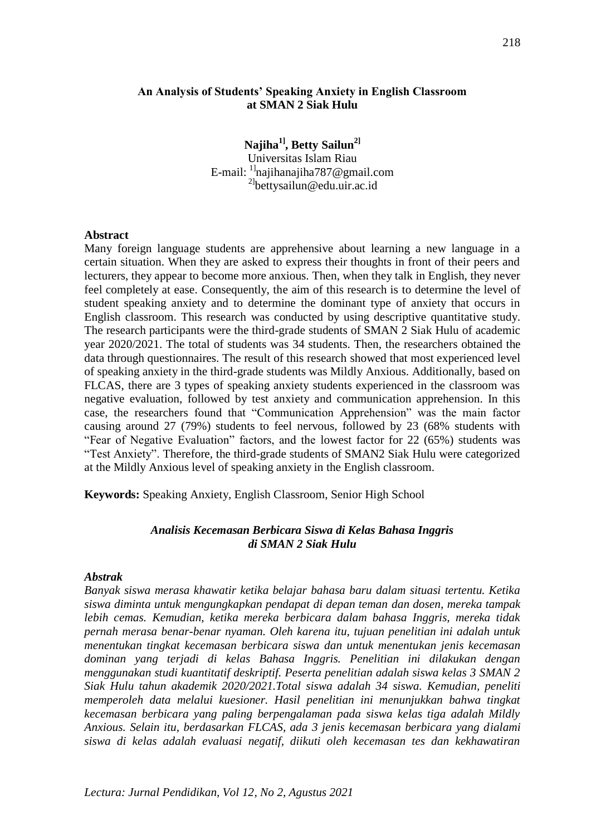### **An Analysis of Students' Speaking Anxiety in English Classroom at SMAN 2 Siak Hulu**

**Najiha1], Betty Sailun2]** Universitas Islam Riau E-mail: 1][najihanajiha787@gmail.com](mailto:najihanajiha787@gmail.com) 2] [bettysailun@edu.uir.ac.id](mailto:bettysailun@edu.uir.ac.id)

### **Abstract**

Many foreign language students are apprehensive about learning a new language in a certain situation. When they are asked to express their thoughts in front of their peers and lecturers, they appear to become more anxious. Then, when they talk in English, they never feel completely at ease. Consequently, the aim of this research is to determine the level of student speaking anxiety and to determine the dominant type of anxiety that occurs in English classroom. This research was conducted by using descriptive quantitative study. The research participants were the third-grade students of SMAN 2 Siak Hulu of academic year 2020/2021. The total of students was 34 students. Then, the researchers obtained the data through questionnaires. The result of this research showed that most experienced level of speaking anxiety in the third-grade students was Mildly Anxious. Additionally, based on FLCAS, there are 3 types of speaking anxiety students experienced in the classroom was negative evaluation, followed by test anxiety and communication apprehension. In this case, the researchers found that "Communication Apprehension" was the main factor causing around 27 (79%) students to feel nervous, followed by 23 (68% students with "Fear of Negative Evaluation" factors, and the lowest factor for 22 (65%) students was "Test Anxiety". Therefore, the third-grade students of SMAN2 Siak Hulu were categorized at the Mildly Anxious level of speaking anxiety in the English classroom.

**Keywords:** Speaking Anxiety, English Classroom, Senior High School

### *Analisis Kecemasan Berbicara Siswa di Kelas Bahasa Inggris di SMAN 2 Siak Hulu*

#### *Abstrak*

*Banyak siswa merasa khawatir ketika belajar bahasa baru dalam situasi tertentu. Ketika siswa diminta untuk mengungkapkan pendapat di depan teman dan dosen, mereka tampak lebih cemas. Kemudian, ketika mereka berbicara dalam bahasa Inggris, mereka tidak pernah merasa benar-benar nyaman. Oleh karena itu, tujuan penelitian ini adalah untuk menentukan tingkat kecemasan berbicara siswa dan untuk menentukan jenis kecemasan dominan yang terjadi di kelas Bahasa Inggris. Penelitian ini dilakukan dengan menggunakan studi kuantitatif deskriptif. Peserta penelitian adalah siswa kelas 3 SMAN 2 Siak Hulu tahun akademik 2020/2021.Total siswa adalah 34 siswa. Kemudian, peneliti memperoleh data melalui kuesioner. Hasil penelitian ini menunjukkan bahwa tingkat kecemasan berbicara yang paling berpengalaman pada siswa kelas tiga adalah Mildly Anxious. Selain itu, berdasarkan FLCAS, ada 3 jenis kecemasan berbicara yang dialami siswa di kelas adalah evaluasi negatif, diikuti oleh kecemasan tes dan kekhawatiran*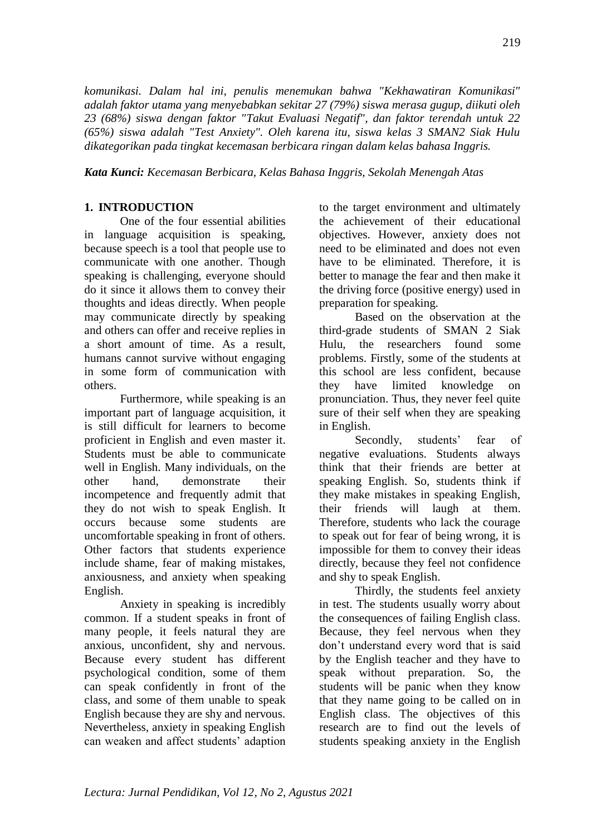*komunikasi. Dalam hal ini, penulis menemukan bahwa "Kekhawatiran Komunikasi" adalah faktor utama yang menyebabkan sekitar 27 (79%) siswa merasa gugup, diikuti oleh 23 (68%) siswa dengan faktor "Takut Evaluasi Negatif", dan faktor terendah untuk 22 (65%) siswa adalah "Test Anxiety". Oleh karena itu, siswa kelas 3 SMAN2 Siak Hulu dikategorikan pada tingkat kecemasan berbicara ringan dalam kelas bahasa Inggris.*

*Kata Kunci: Kecemasan Berbicara, Kelas Bahasa Inggris, Sekolah Menengah Atas*

## **1. INTRODUCTION**

One of the four essential abilities in language acquisition is speaking, because speech is a tool that people use to communicate with one another. Though speaking is challenging, everyone should do it since it allows them to convey their thoughts and ideas directly. When people may communicate directly by speaking and others can offer and receive replies in a short amount of time. As a result, humans cannot survive without engaging in some form of communication with others.

Furthermore, while speaking is an important part of language acquisition, it is still difficult for learners to become proficient in English and even master it. Students must be able to communicate well in English. Many individuals, on the other hand, demonstrate their incompetence and frequently admit that they do not wish to speak English. It occurs because some students are uncomfortable speaking in front of others. Other factors that students experience include shame, fear of making mistakes, anxiousness, and anxiety when speaking English.

Anxiety in speaking is incredibly common. If a student speaks in front of many people, it feels natural they are anxious, unconfident, shy and nervous. Because every student has different psychological condition, some of them can speak confidently in front of the class, and some of them unable to speak English because they are shy and nervous. Nevertheless, anxiety in speaking English can weaken and affect students' adaption

to the target environment and ultimately the achievement of their educational objectives. However, anxiety does not need to be eliminated and does not even have to be eliminated. Therefore, it is better to manage the fear and then make it the driving force (positive energy) used in preparation for speaking.

Based on the observation at the third-grade students of SMAN 2 Siak Hulu, the researchers found some problems. Firstly, some of the students at this school are less confident, because they have limited knowledge on pronunciation. Thus, they never feel quite sure of their self when they are speaking in English.

Secondly, students' fear of negative evaluations. Students always think that their friends are better at speaking English. So, students think if they make mistakes in speaking English, their friends will laugh at them. Therefore, students who lack the courage to speak out for fear of being wrong, it is impossible for them to convey their ideas directly, because they feel not confidence and shy to speak English.

Thirdly, the students feel anxiety in test. The students usually worry about the consequences of failing English class. Because, they feel nervous when they don't understand every word that is said by the English teacher and they have to speak without preparation. So, the students will be panic when they know that they name going to be called on in English class. The objectives of this research are to find out the levels of students speaking anxiety in the English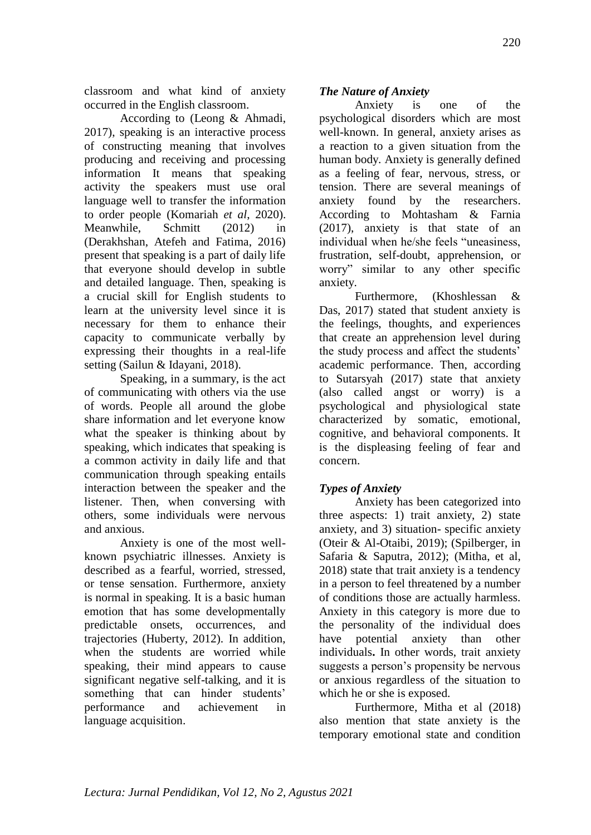classroom and what kind of anxiety occurred in the English classroom.

According to (Leong & Ahmadi, 2017), speaking is an interactive process of constructing meaning that involves producing and receiving and processing information It means that speaking activity the speakers must use oral language well to transfer the information to order people (Komariah *et al*, 2020). Meanwhile, Schmitt (2012) in (Derakhshan, Atefeh and Fatima, 2016) present that speaking is a part of daily life that everyone should develop in subtle and detailed language. Then, speaking is a crucial skill for English students to learn at the university level since it is necessary for them to enhance their capacity to communicate verbally by expressing their thoughts in a real-life setting (Sailun & Idayani, 2018).

Speaking, in a summary, is the act of communicating with others via the use of words. People all around the globe share information and let everyone know what the speaker is thinking about by speaking, which indicates that speaking is a common activity in daily life and that communication through speaking entails interaction between the speaker and the listener. Then, when conversing with others, some individuals were nervous and anxious.

Anxiety is one of the most wellknown psychiatric illnesses. Anxiety is described as a fearful, worried, stressed, or tense sensation. Furthermore, anxiety is normal in speaking. It is a basic human emotion that has some developmentally predictable onsets, occurrences, and trajectories (Huberty, 2012). In addition, when the students are worried while speaking, their mind appears to cause significant negative self-talking, and it is something that can hinder students' performance and achievement in language acquisition.

# *The Nature of Anxiety*

Anxiety is one of the psychological disorders which are most well-known. In general, anxiety arises as a reaction to a given situation from the human body. Anxiety is generally defined as a feeling of fear, nervous, stress, or tension. There are several meanings of anxiety found by the researchers. According to Mohtasham & Farnia (2017), anxiety is that state of an individual when he/she feels "uneasiness, frustration, self-doubt, apprehension, or worry" similar to any other specific anxiety.

Furthermore, (Khoshlessan & Das, 2017) stated that student anxiety is the feelings, thoughts, and experiences that create an apprehension level during the study process and affect the students' academic performance. Then, according to Sutarsyah (2017) state that anxiety (also called angst or worry) is a psychological and physiological state characterized by somatic, emotional, cognitive, and behavioral components. It is the displeasing feeling of fear and concern.

# *Types of Anxiety*

Anxiety has been categorized into three aspects: 1) trait anxiety, 2) state anxiety, and 3) situation- specific anxiety (Oteir & Al-Otaibi, 2019); (Spilberger, in Safaria & Saputra, 2012); (Mitha, et al, 2018) state that trait anxiety is a tendency in a person to feel threatened by a number of conditions those are actually harmless. Anxiety in this category is more due to the personality of the individual does have potential anxiety than other individuals**.** In other words, trait anxiety suggests a person's propensity be nervous or anxious regardless of the situation to which he or she is exposed.

Furthermore, Mitha et al (2018) also mention that state anxiety is the temporary emotional state and condition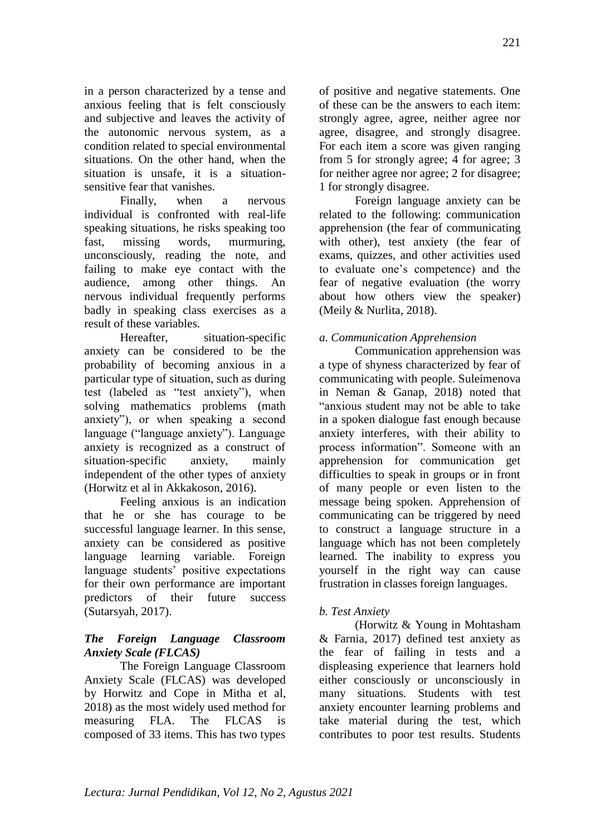in a person characterized by a tense and anxious feeling that is felt consciously and subjective and leaves the activity of the autonomic nervous system, as a condition related to special environmental situations. On the other hand, when the situation is unsafe, it is a situationsensitive fear that vanishes.

Finally, when a nervous individual is confronted with real-life speaking situations, he risks speaking too fast, missing words, murmuring, unconsciously, reading the note, and failing to make eye contact with the audience, among other things. An nervous individual frequently performs badly in speaking class exercises as a result of these variables.

Hereafter, situation-specific anxiety can be considered to be the probability of becoming anxious in a particular type of situation, such as during test (labeled as "test anxiety"), when solving mathematics problems (math anxiety"), or when speaking a second language ("language anxiety"). Language anxiety is recognized as a construct of situation-specific anxiety, mainly independent of the other types of anxiety (Horwitz et al in Akkakoson, 2016).

Feeling anxious is an indication that he or she has courage to be successful language learner. In this sense, anxiety can be considered as positive language learning variable. Foreign language students' positive expectations for their own performance are important predictors of their future success (Sutarsyah, 2017).

# *The Foreign Language Classroom Anxiety Scale (FLCAS)*

The Foreign Language Classroom Anxiety Scale (FLCAS) was developed by Horwitz and Cope in Mitha et al, 2018) as the most widely used method for measuring FLA. The FLCAS is composed of 33 items. This has two types

of positive and negative statements. One of these can be the answers to each item: strongly agree, agree, neither agree nor agree, disagree, and strongly disagree. For each item a score was given ranging from 5 for strongly agree; 4 for agree; 3 for neither agree nor agree; 2 for disagree; 1 for strongly disagree.

Foreign language anxiety can be related to the following: communication apprehension (the fear of communicating with other), test anxiety (the fear of exams, quizzes, and other activities used to evaluate one's competence) and the fear of negative evaluation (the worry about how others view the speaker) (Meily & Nurlita, 2018).

## *a. Communication Apprehension*

Communication apprehension was a type of shyness characterized by fear of communicating with people. Suleimenova in Neman & Ganap, 2018) noted that "anxious student may not be able to take in a spoken dialogue fast enough because anxiety interferes, with their ability to process information". Someone with an apprehension for communication get difficulties to speak in groups or in front of many people or even listen to the message being spoken. Apprehension of communicating can be triggered by need to construct a language structure in a language which has not been completely learned. The inability to express you yourself in the right way can cause frustration in classes foreign languages.

## *b. Test Anxiety*

(Horwitz & Young in Mohtasham & Farnia, 2017) defined test anxiety as the fear of failing in tests and a displeasing experience that learners hold either consciously or unconsciously in many situations. Students with test anxiety encounter learning problems and take material during the test, which contributes to poor test results. Students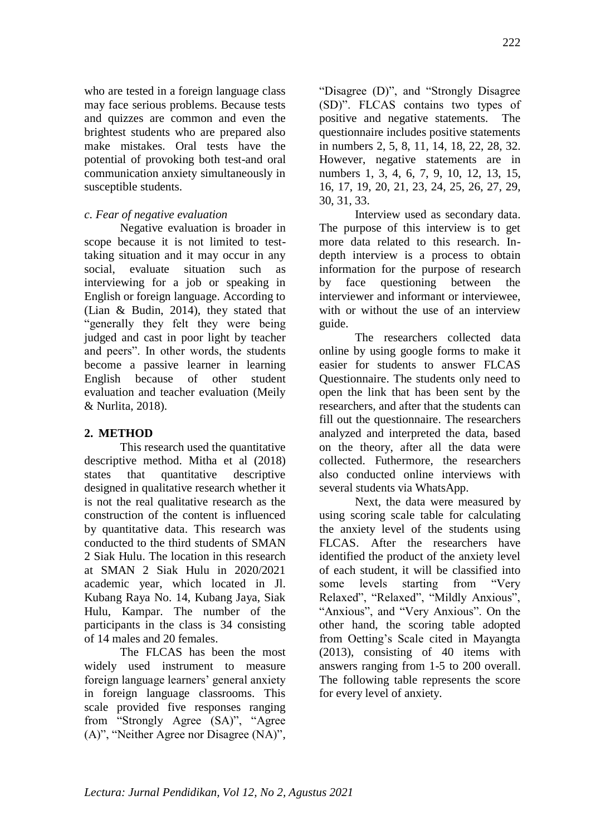who are tested in a foreign language class may face serious problems. Because tests and quizzes are common and even the brightest students who are prepared also make mistakes. Oral tests have the potential of provoking both test-and oral communication anxiety simultaneously in susceptible students.

## *c. Fear of negative evaluation*

Negative evaluation is broader in scope because it is not limited to testtaking situation and it may occur in any social, evaluate situation such as interviewing for a job or speaking in English or foreign language. According to (Lian & Budin, 2014), they stated that "generally they felt they were being judged and cast in poor light by teacher and peers". In other words, the students become a passive learner in learning English because of other student evaluation and teacher evaluation (Meily & Nurlita, 2018).

## **2. METHOD**

This research used the quantitative descriptive method. Mitha et al (2018) states that quantitative descriptive designed in qualitative research whether it is not the real qualitative research as the construction of the content is influenced by quantitative data. This research was conducted to the third students of SMAN 2 Siak Hulu. The location in this research at SMAN 2 Siak Hulu in 2020/2021 academic year, which located in Jl. Kubang Raya No. 14, Kubang Jaya, Siak Hulu, Kampar. The number of the participants in the class is 34 consisting of 14 males and 20 females.

The FLCAS has been the most widely used instrument to measure foreign language learners' general anxiety in foreign language classrooms. This scale provided five responses ranging from "Strongly Agree (SA)", "Agree (A)", "Neither Agree nor Disagree (NA)",

"Disagree (D)", and "Strongly Disagree (SD)". FLCAS contains two types of positive and negative statements. The questionnaire includes positive statements in numbers 2, 5, 8, 11, 14, 18, 22, 28, 32. However, negative statements are in numbers 1, 3, 4, 6, 7, 9, 10, 12, 13, 15, 16, 17, 19, 20, 21, 23, 24, 25, 26, 27, 29, 30, 31, 33.

Interview used as secondary data. The purpose of this interview is to get more data related to this research. Indepth interview is a process to obtain information for the purpose of research by face questioning between the interviewer and informant or interviewee, with or without the use of an interview guide.

The researchers collected data online by using google forms to make it easier for students to answer FLCAS Questionnaire. The students only need to open the link that has been sent by the researchers, and after that the students can fill out the questionnaire. The researchers analyzed and interpreted the data, based on the theory, after all the data were collected. Futhermore, the researchers also conducted online interviews with several students via WhatsApp.

Next, the data were measured by using scoring scale table for calculating the anxiety level of the students using FLCAS. After the researchers have identified the product of the anxiety level of each student, it will be classified into some levels starting from "Very Relaxed", "Relaxed", "Mildly Anxious", "Anxious", and "Very Anxious". On the other hand, the scoring table adopted from Oetting's Scale cited in Mayangta (2013), consisting of 40 items with answers ranging from 1-5 to 200 overall. The following table represents the score for every level of anxiety.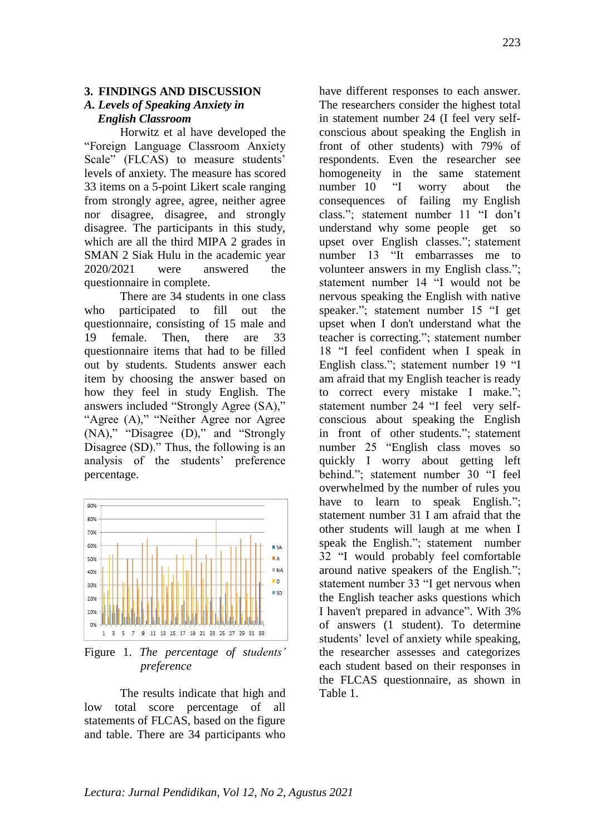#### **3. FINDINGS AND DISCUSSION**

### *A. Levels of Speaking Anxiety in English Classroom*

Horwitz et al have developed the "Foreign Language Classroom Anxiety Scale" (FLCAS) to measure students' levels of anxiety. The measure has scored 33 items on a 5-point Likert scale ranging from strongly agree, agree, neither agree nor disagree, disagree, and strongly disagree. The participants in this study, which are all the third MIPA 2 grades in SMAN 2 Siak Hulu in the academic year 2020/2021 were answered the questionnaire in complete.

There are 34 students in one class who participated to fill out the questionnaire, consisting of 15 male and 19 female. Then, there are 33 questionnaire items that had to be filled out by students. Students answer each item by choosing the answer based on how they feel in study English. The answers included "Strongly Agree (SA)," "Agree (A)," "Neither Agree nor Agree (NA)," "Disagree (D)," and "Strongly Disagree (SD)." Thus, the following is an analysis of the students' preference percentage.



Figure 1. *The percentage of students' preference*

The results indicate that high and low total score percentage of all statements of FLCAS, based on the figure and table. There are 34 participants who

have different responses to each answer. The researchers consider the highest total in statement number 24 (I feel very self‐ conscious about speaking the English in front of other students) with 79% of respondents. Even the researcher see homogeneity in the same statement number 10 "I worry about the consequences of failing my English class."; statement number 11 "I don't understand why some people get so upset over English classes."; statement number 13 "It embarrasses me to volunteer answers in my English class."; statement number 14 "I would not be nervous speaking the English with native speaker."; statement number 15 "I get upset when I don't understand what the teacher is correcting."; statement number 18 "I feel confident when I speak in English class."; statement number 19 "I am afraid that my English teacher is ready to correct every mistake I make."; statement number 24 "I feel very self‐ conscious about speaking the English in front of other students."; statement number 25 "English class moves so quickly I worry about getting left behind."; statement number 30 "I feel overwhelmed by the number of rules you have to learn to speak English."; statement number 31 I am afraid that the other students will laugh at me when I speak the English."; statement number 32 "I would probably feel comfortable around native speakers of the English."; statement number 33 "I get nervous when the English teacher asks questions which I haven't prepared in advance". With 3% of answers (1 student). To determine students' level of anxiety while speaking, the researcher assesses and categorizes each student based on their responses in the FLCAS questionnaire, as shown in Table 1.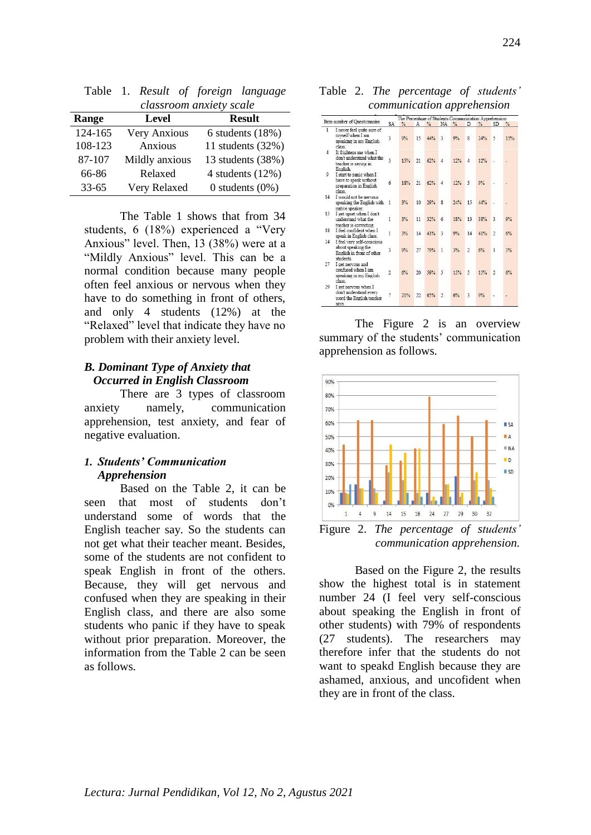| 1 uviv    | 1. Restaur of foreign automage<br>classroom anxiety scale |                     |  |  |  |  |  |  |  |  |  |
|-----------|-----------------------------------------------------------|---------------------|--|--|--|--|--|--|--|--|--|
| Range     | Level                                                     | <b>Result</b>       |  |  |  |  |  |  |  |  |  |
| 124-165   | Very Anxious                                              | 6 students $(18%)$  |  |  |  |  |  |  |  |  |  |
| 108-123   | Anxious                                                   | 11 students $(32%)$ |  |  |  |  |  |  |  |  |  |
| 87-107    | Mildly anxious                                            | 13 students (38%)   |  |  |  |  |  |  |  |  |  |
| 66-86     | Relaxed                                                   | 4 students $(12%)$  |  |  |  |  |  |  |  |  |  |
| $33 - 65$ | Very Relaxed                                              | 0 students $(0\%)$  |  |  |  |  |  |  |  |  |  |

Table 1. *Result of foreign language* 

The Table 1 shows that from 34 students, 6 (18%) experienced a "Very Anxious" level. Then, 13 (38%) were at a "Mildly Anxious" level. This can be a normal condition because many people often feel anxious or nervous when they have to do something in front of others, and only 4 students (12%) at the "Relaxed" level that indicate they have no problem with their anxiety level.

### *B. Dominant Type of Anxiety that Occurred in English Classroom*

There are 3 types of classroom anxiety namely, communication apprehension, test anxiety, and fear of negative evaluation.

## *1. Students' Communication Apprehension*

Based on the Table 2, it can be seen that most of students don't understand some of words that the English teacher say. So the students can not get what their teacher meant. Besides, some of the students are not confident to speak English in front of the others. Because, they will get nervous and confused when they are speaking in their English class, and there are also some students who panic if they have to speak without prior preparation. Moreover, the information from the Table 2 can be seen as follows.

Table 2. *The percentage of students' communication apprehension*

| Item number of Questionnaire |                                                                                           | The Percentage of Students Communication Apprehension |     |    |     |                |               |                         |               |                |     |  |
|------------------------------|-------------------------------------------------------------------------------------------|-------------------------------------------------------|-----|----|-----|----------------|---------------|-------------------------|---------------|----------------|-----|--|
|                              |                                                                                           | SA                                                    | %   | Α  | %   | NA.            | $\frac{9}{6}$ | D                       | $\frac{9}{6}$ | SD <sub></sub> | %   |  |
| $\mathbf{1}$                 | I never feel quite sure of<br>myself when I am<br>speaking in my English<br>class.        | 3                                                     | 9%  | 15 | 44% | 3              | 9%            | s                       | 24%           | 5              | 15% |  |
| 4                            | It frightens me when I<br>don't understand what the<br>teacher is saying in<br>English.   | 5                                                     | 15% | 21 | 62% | 4              | 12%           | $\overline{4}$          | 12%           |                |     |  |
| 9                            | I start to panic when I<br>have to speak without<br>preparation in English<br>class       | $\overline{6}$                                        | 18% | 21 | 62% | $\Delta$       | 12%           | $\overline{\mathbf{3}}$ | 9%            |                |     |  |
| 14                           | I would not be nervous<br>speaking the English with<br>native speaker.                    | $\mathbf{1}$                                          | 3%  | 10 | 29% | $\mathbf{g}$   | 24%           | 15                      | 44%           |                |     |  |
| 15                           | I get upset when I don't<br>understand what the                                           | 1                                                     | 3%  | 11 | 32% | 6              | 18%           | 13                      | 38%           | $\overline{3}$ | 9%  |  |
| 18                           | teacher is correcting.<br>I feel confident when I<br>speak in English class.              | $\overline{1}$                                        | 3%  | 14 | 41% | $\overline{3}$ | 9%            | 14                      | 41%           | $\overline{2}$ | 6%  |  |
| 24                           | I feel very self-conscious<br>about speaking the<br>English in front of other<br>students | 3                                                     | 9%  | 27 | 79% | $\mathbf{1}$   | 3%            | $\overline{2}$          | 6%            | 1              | 3%  |  |
| 27                           | I get nervous and<br>confused when I am<br>speaking in my English<br>class                | $\overline{2}$                                        | 6%  | 20 | 59% | 5              | 15%           | 5                       | 15%           | $\mathfrak{D}$ | 6%  |  |
| 29                           | I get nervous when I<br>don't understand every<br>word the English teacher<br>says.       | 7                                                     | 21% | 22 | 65% | $\overline{2}$ | 6%            | 3                       | 9%            |                |     |  |

The Figure 2 is an overview summary of the students' communication apprehension as follows.



Figure 2. *The percentage of students' communication apprehension.*

Based on the Figure 2, the results show the highest total is in statement number 24 (I feel very self‐conscious about speaking the English in front of other students) with 79% of respondents (27 students). The researchers may therefore infer that the students do not want to speakd English because they are ashamed, anxious, and uncofident when they are in front of the class.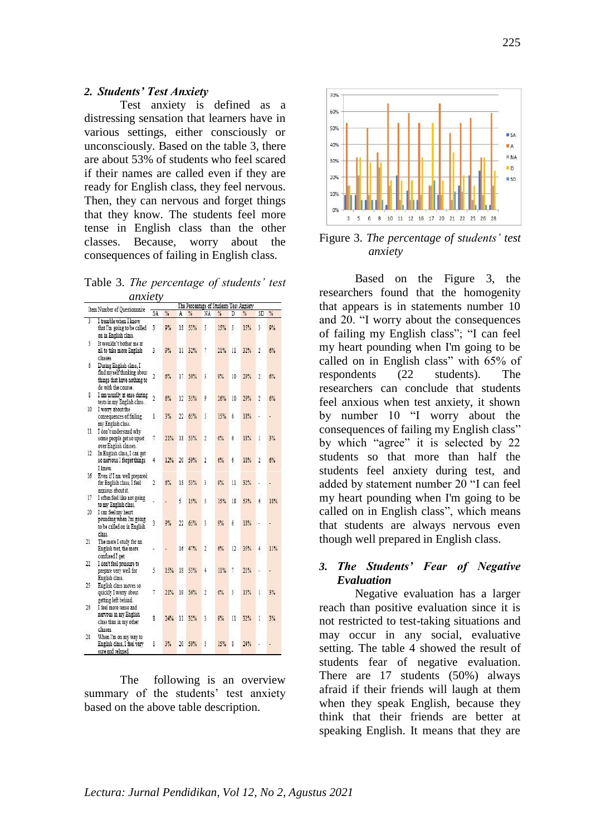#### *2. Students' Test Anxiety*

Test anxiety is defined as a distressing sensation that learners have in various settings, either consciously or unconsciously. Based on the table 3, there are about 53% of students who feel scared if their names are called even if they are ready for English class, they feel nervous. Then, they can nervous and forget things that they know. The students feel more tense in English class than the other classes. Because, worry about the consequences of failing in English class.

Table 3. *The percentage of students' test anxiety*

|     | Item Number of Questionnaire<br>SA                                                                          |                |     | The Percentage of Students Test Anxiety |     |                |               |    |     |                |     |
|-----|-------------------------------------------------------------------------------------------------------------|----------------|-----|-----------------------------------------|-----|----------------|---------------|----|-----|----------------|-----|
|     |                                                                                                             |                | %   | ℁<br>A                                  |     | NA             | $\frac{9}{4}$ | D  | ℁   | SD             | ℁   |
| 3   | I tremble when I know<br>that I'm going to be called<br>on in English class.                                | 3              | 9%  | 18                                      | 53% | 5              | 15%           | 5  | 15% | 3              | 9%  |
| 5.  | It wouldn't bother me at<br>all to take more English<br>classes                                             | 3              | 9%  | 11                                      | 32% | $\overline{7}$ | 21%           | 11 | 32% | 2.             | 6%  |
| 6   | During English class, I<br>find myself thinking about<br>things that have nothing to<br>do with the course. | 2              | 6%  | 17                                      | 50% | 3              | 9%            | 10 | 29% | 2              | 6%  |
| 8   | I am usually at ease during<br>tests in my English class.                                                   | 2              | 6%  | 12                                      | 35% | 9              | 26%           | 10 | 29% | 2              | 6%  |
| 10  | I won'v about the<br>consequences of failing<br>my English class.                                           | 1              | 3%  | 22                                      | 65% | 5              | 15%           | ó  | 18% |                |     |
| -11 | I don't understand why<br>some people get so upset<br>over English classes.                                 | 7              | 21% | 18                                      | 53% | $\overline{2}$ | 6%            | ó  | 18% | 1              | 3%  |
| 12  | In English class, I can get<br>so nervous I forget things                                                   | 4              | 12% | 20                                      | 59% | $\overline{2}$ | 6%            | ó  | 18% | $\overline{2}$ | 6%  |
| 16  | I know.<br>Even if I am well prepared<br>for English class, I feel<br>anxious about it.                     | $\overline{2}$ | 6%  | 18                                      | 53% | 3              | 9%            | 11 | 32% |                |     |
| 17  | I often feel like not going<br>to my English class.                                                         |                |     | 5.                                      | 15% | 5              | 15%           | 18 | 53% | б              | 18% |
| 20  | I can feel my heart<br>pounding when I'm going<br>to be called on in English<br>class.                      | 3              | 9%  | $^{22}$                                 | 65% | 3              | 9%            | б  | 18% |                |     |
| 21  | The more I study for an<br>English test, the more<br>confused I get.                                        |                |     | 16                                      | 47% | 2              | 6%            | 12 | 35% | 4              | 11% |
| 22  | I don't feel pressure to<br>prepare very well for<br>English class.                                         | 5              | 15% | 18                                      | 53% | 4              | 11%           | 7  | 21% |                |     |
| 25  | English class moves so<br>quickly I worry about<br>getting left behind.                                     | 7              | 21% | 19                                      | 56% | $\overline{2}$ | 6%            | 5  | 15% | 1              | 3%  |
| 26  | I feel more tense and<br>nervous in my English<br>class than in my other<br>classes.                        | 8              | 24% | 11                                      | 32% | 3              | 9%            | 11 | 32% | ı.             | 3%  |
| 28  | When I'm on my way to<br>English class, I feel very<br>sure and relaxed.                                    | 1              | 3%  | 20                                      | 59% | 5              | 15%           | g  | 24% |                |     |

The following is an overview summary of the students' test anxiety based on the above table description.



Figure 3. *The percentage of students' test anxiety*

Based on the Figure 3, the researchers found that the homogenity that appears is in statements number 10 and 20. "I worry about the consequences of failing my English class"; "I can feel my heart pounding when I'm going to be called on in English class" with 65% of respondents (22 students). The researchers can conclude that students feel anxious when test anxiety, it shown by number 10 "I worry about the consequences of failing my English class" by which "agree" it is selected by 22 students so that more than half the students feel anxiety during test, and added by statement number 20 "I can feel my heart pounding when I'm going to be called on in English class", which means that students are always nervous even though well prepared in English class.

### *3. The Students' Fear of Negative Evaluation*

Negative evaluation has a larger reach than positive evaluation since it is not restricted to test-taking situations and may occur in any social, evaluative setting. The table 4 showed the result of students fear of negative evaluation. There are 17 students (50%) always afraid if their friends will laugh at them when they speak English, because they think that their friends are better at speaking English. It means that they are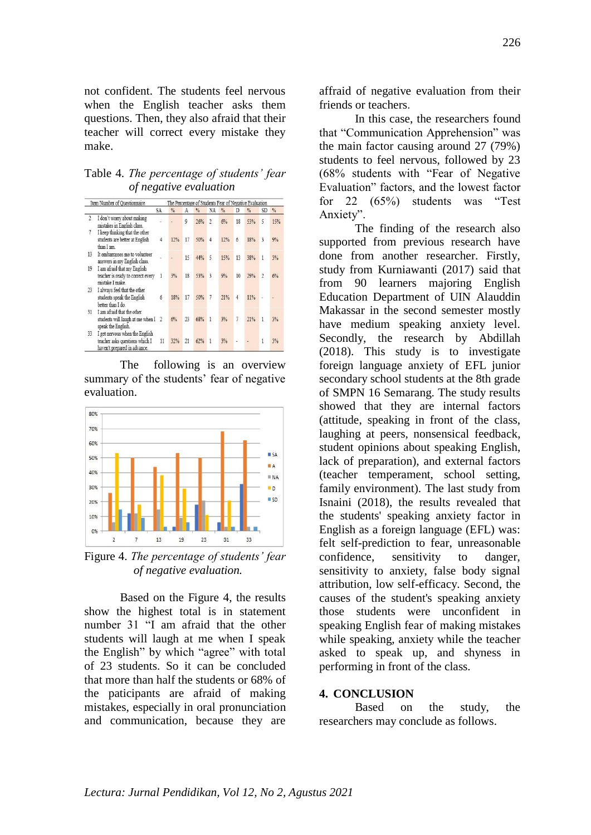not confident. The students feel nervous when the English teacher asks them questions. Then, they also afraid that their teacher will correct every mistake they make.

Table 4. *The percentage of students' fear of negative evaluation*

|                | Item Number of Ouestionnaire                                                                     |                | The Percentage of Students Fear of Negative Evaluation |    |               |                |               |        |               |                |               |  |
|----------------|--------------------------------------------------------------------------------------------------|----------------|--------------------------------------------------------|----|---------------|----------------|---------------|--------|---------------|----------------|---------------|--|
|                |                                                                                                  | SA             | $\frac{0}{6}$                                          | А  | $\frac{0}{2}$ | NA             | $\frac{0}{6}$ | D      | $\frac{0}{2}$ | SD             | $\frac{0}{2}$ |  |
| $\overline{2}$ | I don't worry about making<br>mistakes in English class.                                         |                |                                                        | 9  | 26%           | $\overline{2}$ | 6%            | 18     | 53%           | 5              | 15%           |  |
|                | I keep thinking that the other<br>students are better at English<br>than I am.                   | 4              | 12%                                                    | 17 | 50%           | 4              | 12%           | 6      | 18%           | 3              | 9%            |  |
| 13             | It embarrasses me to volunteer<br>answers in my English class.                                   |                |                                                        | 15 | 44%           | 5              | 15%           | 13     | 38%           | 1              | 3%            |  |
| 19             | I am afraid that my English<br>teacher is ready to correct every<br>mistake I make.              | 1              | 3%                                                     | 18 | 53%           | 3              | 9%            | 10     | 29%           | $\overline{2}$ | 6%            |  |
| 23             | I always feel that the other<br>students speak the English<br>better than I do.                  | б              | 18%                                                    | 17 | 50%           | $\tau$         | 21%           | 4      | 11%           |                |               |  |
| 31             | I am afraid that the other<br>students will laugh at me when I<br>speak the English.             | $\overline{2}$ | 6%                                                     | 23 | 68%           | 1              | 3%            | $\tau$ | 21%           | 1              | 3%            |  |
| 33             | I get nervous when the English<br>teacher asks questions which I<br>haven't prepared in advance. | 11             | 32%                                                    | 21 | 62%           | $\mathbf{1}$   | 3%            |        |               | 1              | 3%            |  |

The following is an overview summary of the students' fear of negative evaluation.



Figure 4. *The percentage of students' fear of negative evaluation.*

Based on the Figure 4, the results show the highest total is in statement number 31 "I am afraid that the other students will laugh at me when I speak the English" by which "agree" with total of 23 students. So it can be concluded that more than half the students or 68% of the paticipants are afraid of making mistakes, especially in oral pronunciation and communication, because they are

affraid of negative evaluation from their friends or teachers.

In this case, the researchers found that "Communication Apprehension" was the main factor causing around 27 (79%) students to feel nervous, followed by 23 (68% students with "Fear of Negative Evaluation" factors, and the lowest factor for 22 (65%) students was "Test Anxiety".

The finding of the research also supported from previous research have done from another researcher. Firstly, study from Kurniawanti (2017) said that from 90 learners majoring English Education Department of UIN Alauddin Makassar in the second semester mostly have medium speaking anxiety level. Secondly, the research by Abdillah (2018). This study is to investigate foreign language anxiety of EFL junior secondary school students at the 8th grade of SMPN 16 Semarang. The study results showed that they are internal factors (attitude, speaking in front of the class, laughing at peers, nonsensical feedback, student opinions about speaking English, lack of preparation), and external factors (teacher temperament, school setting, family environment). The last study from Isnaini (2018), the results revealed that the students' speaking anxiety factor in English as a foreign language (EFL) was: felt self-prediction to fear, unreasonable confidence, sensitivity to danger, sensitivity to anxiety, false body signal attribution, low self-efficacy. Second, the causes of the student's speaking anxiety those students were unconfident in speaking English fear of making mistakes while speaking, anxiety while the teacher asked to speak up, and shyness in performing in front of the class.

#### **4. CONCLUSION**

Based on the study, the researchers may conclude as follows.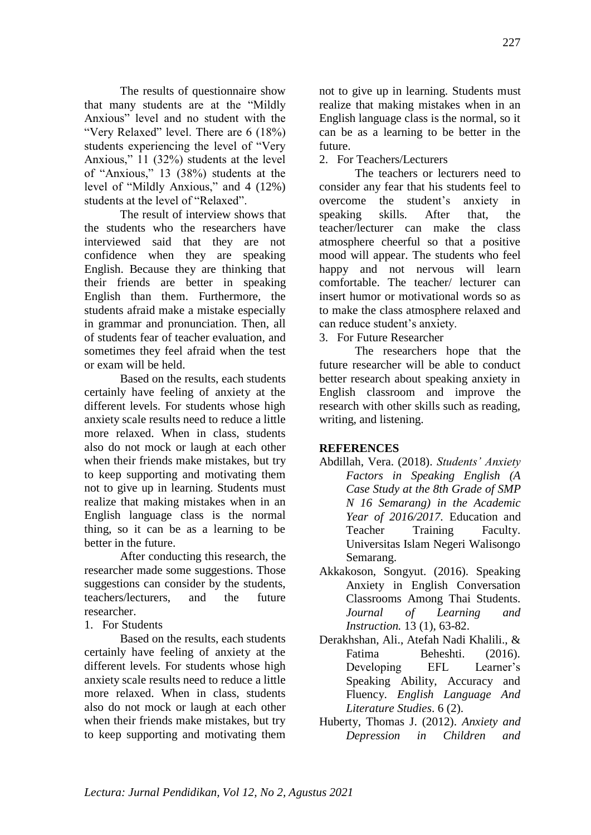The results of questionnaire show that many students are at the "Mildly Anxious" level and no student with the "Very Relaxed" level. There are 6 (18%) students experiencing the level of "Very Anxious," 11 (32%) students at the level of "Anxious," 13 (38%) students at the level of "Mildly Anxious," and 4 (12%) students at the level of "Relaxed".

The result of interview shows that the students who the researchers have interviewed said that they are not confidence when they are speaking English. Because they are thinking that their friends are better in speaking English than them. Furthermore, the students afraid make a mistake especially in grammar and pronunciation. Then, all of students fear of teacher evaluation, and sometimes they feel afraid when the test or exam will be held.

Based on the results, each students certainly have feeling of anxiety at the different levels. For students whose high anxiety scale results need to reduce a little more relaxed. When in class, students also do not mock or laugh at each other when their friends make mistakes, but try to keep supporting and motivating them not to give up in learning. Students must realize that making mistakes when in an English language class is the normal thing, so it can be as a learning to be better in the future.

After conducting this research, the researcher made some suggestions. Those suggestions can consider by the students, teachers/lecturers, and the future researcher.

1. For Students

Based on the results, each students certainly have feeling of anxiety at the different levels. For students whose high anxiety scale results need to reduce a little more relaxed. When in class, students also do not mock or laugh at each other when their friends make mistakes, but try to keep supporting and motivating them not to give up in learning. Students must realize that making mistakes when in an English language class is the normal, so it can be as a learning to be better in the future.

2. For Teachers/Lecturers

The teachers or lecturers need to consider any fear that his students feel to overcome the student's anxiety in speaking skills. After that, the teacher/lecturer can make the class atmosphere cheerful so that a positive mood will appear. The students who feel happy and not nervous will learn comfortable. The teacher/ lecturer can insert humor or motivational words so as to make the class atmosphere relaxed and can reduce student's anxiety.

3. For Future Researcher

The researchers hope that the future researcher will be able to conduct better research about speaking anxiety in English classroom and improve the research with other skills such as reading, writing, and listening.

## **REFERENCES**

- Abdillah, Vera. (2018). *Students' Anxiety Factors in Speaking English (A Case Study at the 8th Grade of SMP N 16 Semarang) in the Academic Year of 2016/2017.* Education and Teacher Training Faculty. Universitas Islam Negeri Walisongo Semarang.
- Akkakoson, Songyut. (2016). Speaking Anxiety in English Conversation Classrooms Among Thai Students. *Journal of Learning and Instruction.* 13 (1), 63-82.
- Derakhshan, Ali., Atefah Nadi Khalili., & Fatima Beheshti. (2016). Developing EFL Learner's Speaking Ability, Accuracy and Fluency. *English Language And Literature Studies*. 6 (2).
- Huberty, Thomas J. (2012). *Anxiety and Depression in Children and*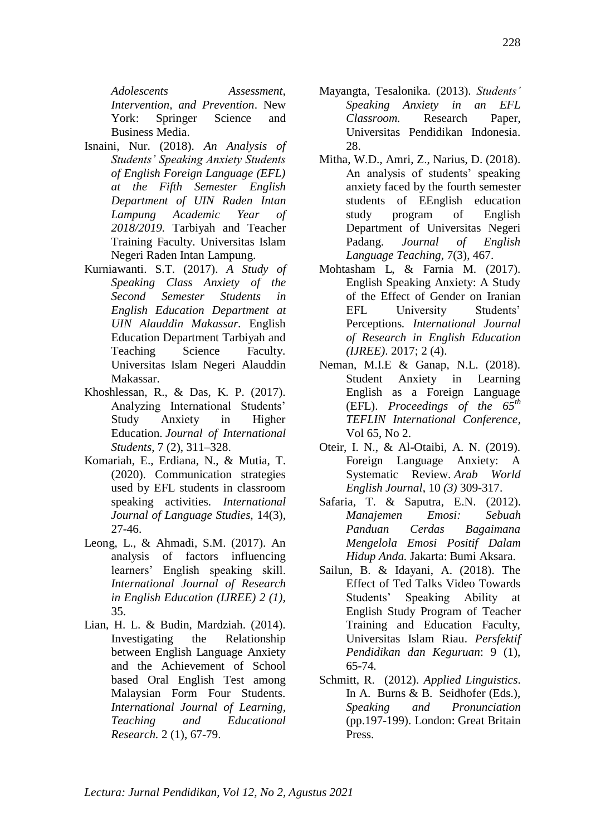*Adolescents Assessment, Intervention, and Prevention*. New York: Springer Science and Business Media.

- Isnaini, Nur. (2018). *An Analysis of Students' Speaking Anxiety Students of English Foreign Language (EFL) at the Fifth Semester English Department of UIN Raden Intan Lampung Academic Year of 2018/2019.* Tarbiyah and Teacher Training Faculty. Universitas Islam Negeri Raden Intan Lampung.
- Kurniawanti. S.T. (2017). *A Study of Speaking Class Anxiety of the Second Semester Students in English Education Department at UIN Alauddin Makassar.* English Education Department Tarbiyah and Teaching Science Faculty. Universitas Islam Negeri Alauddin Makassar.
- Khoshlessan, R., & Das, K. P. (2017). Analyzing International Students' Study Anxiety in Higher Education. *Journal of International Students*, 7 (2), 311–328.
- Komariah, E., Erdiana, N., & Mutia, T. (2020). Communication strategies used by EFL students in classroom speaking activities. *International Journal of Language Studies,* 14(3), 27-46.
- Leong, L., & Ahmadi, S.M. (2017). An analysis of factors influencing learners' English speaking skill. *International Journal of Research in English Education (IJREE) 2 (1),* 35.
- Lian, H. L. & Budin, Mardziah. (2014). Investigating the Relationship between English Language Anxiety and the Achievement of School based Oral English Test among Malaysian Form Four Students. *International Journal of Learning, Teaching and Educational Research.* 2 (1), 67-79.
- Mayangta, Tesalonika. (2013). *Students' Speaking Anxiety in an EFL Classroom.* Research Paper, Universitas Pendidikan Indonesia. 28.
- Mitha, W.D., Amri, Z., Narius, D. (2018). An analysis of students' speaking anxiety faced by the fourth semester students of EEnglish education study program of English Department of Universitas Negeri Padang. *Journal of English Language Teaching,* 7(3), 467.
- Mohtasham L, & Farnia M. (2017). English Speaking Anxiety: A Study of the Effect of Gender on Iranian EFL University Students' Perceptions*. International Journal of Research in English Education (IJREE)*. 2017; 2 (4).
- Neman, M.I.E & Ganap, N.L. (2018). Student Anxiety in Learning English as a Foreign Language (EFL). *Proceedings of the 65th TEFLIN International Conference*, Vol 65, No 2.
- Oteir, I. N., & Al-Otaibi, A. N. (2019). Foreign Language Anxiety: A Systematic Review. *Arab World English Journal*, 10 *(3)* 309-317.
- Safaria, T. & Saputra, E.N. (2012). *Manajemen Emosi: Sebuah Panduan Cerdas Bagaimana Mengelola Emosi Positif Dalam Hidup Anda.* Jakarta: Bumi Aksara.
- Sailun, B. & Idayani, A. (2018). The Effect of Ted Talks Video Towards Students' Speaking Ability at English Study Program of Teacher Training and Education Faculty, Universitas Islam Riau. *Persfektif Pendidikan dan Keguruan*: 9 (1), 65-74*.*
- Schmitt, R. (2012). *Applied Linguistics*. In A. Burns & B. Seidhofer (Eds.), *Speaking and Pronunciation* (pp.197-199). London: Great Britain Press.